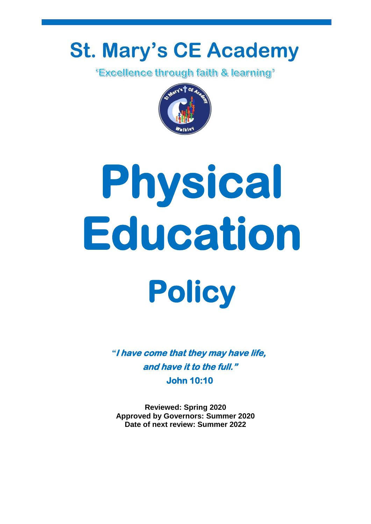## **St. Mary's CE Academy**

*'Excellence through faith & learning'* 



# **Physical Education**

# **Policy**

*"***I have come that they may have life, and have it to the full." John 10:10** 

**Reviewed: Spring 2020 Approved by Governors: Summer 2020 Date of next review: Summer 2022**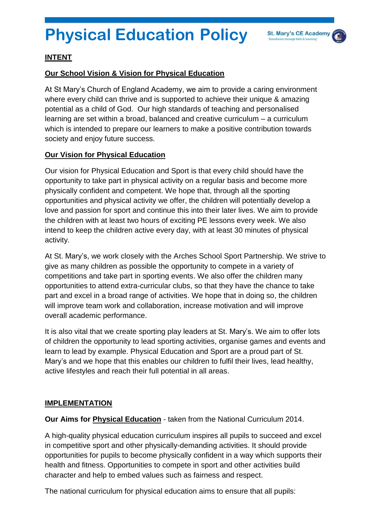### **Physical Education Policy**



#### **INTENT**

#### **Our School Vision & Vision for Physical Education**

At St Mary's Church of England Academy, we aim to provide a caring environment where every child can thrive and is supported to achieve their unique & amazing potential as a child of God. Our high standards of teaching and personalised learning are set within a broad, balanced and creative curriculum – a curriculum which is intended to prepare our learners to make a positive contribution towards society and enjoy future success.

#### **Our Vision for Physical Education**

Our vision for Physical Education and Sport is that every child should have the opportunity to take part in physical activity on a regular basis and become more physically confident and competent. We hope that, through all the sporting opportunities and physical activity we offer, the children will potentially develop a love and passion for sport and continue this into their later lives. We aim to provide the children with at least two hours of exciting PE lessons every week. We also intend to keep the children active every day, with at least 30 minutes of physical activity.

At St. Mary's, we work closely with the Arches School Sport Partnership. We strive to give as many children as possible the opportunity to compete in a variety of competitions and take part in sporting events. We also offer the children many opportunities to attend extra-curricular clubs, so that they have the chance to take part and excel in a broad range of activities. We hope that in doing so, the children will improve team work and collaboration, increase motivation and will improve overall academic performance.

It is also vital that we create sporting play leaders at St. Mary's. We aim to offer lots of children the opportunity to lead sporting activities, organise games and events and learn to lead by example. Physical Education and Sport are a proud part of St. Mary's and we hope that this enables our children to fulfil their lives, lead healthy, active lifestyles and reach their full potential in all areas.

#### **IMPLEMENTATION**

**Our Aims for Physical Education** - taken from the National Curriculum 2014.

A high-quality physical education curriculum inspires all pupils to succeed and excel in competitive sport and other physically-demanding activities. It should provide opportunities for pupils to become physically confident in a way which supports their health and fitness. Opportunities to compete in sport and other activities build character and help to embed values such as fairness and respect.

The national curriculum for physical education aims to ensure that all pupils: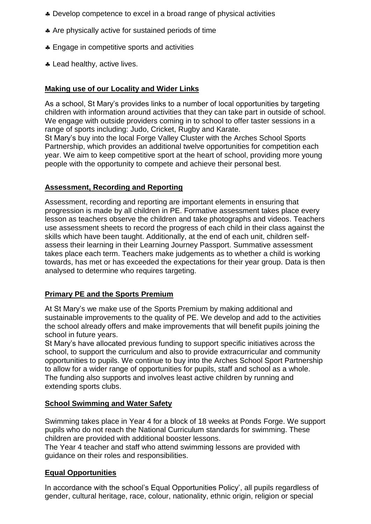- \* Develop competence to excel in a broad range of physical activities
- Are physically active for sustained periods of time
- **Engage in competitive sports and activities**
- **A** Lead healthy, active lives.

#### **Making use of our Locality and Wider Links**

As a school, St Mary's provides links to a number of local opportunities by targeting children with information around activities that they can take part in outside of school. We engage with outside providers coming in to school to offer taster sessions in a range of sports including: Judo, Cricket, Rugby and Karate. St Mary's buy into the local Forge Valley Cluster with the Arches School Sports Partnership, which provides an additional twelve opportunities for competition each year. We aim to keep competitive sport at the heart of school, providing more young people with the opportunity to compete and achieve their personal best.

#### **Assessment, Recording and Reporting**

Assessment, recording and reporting are important elements in ensuring that progression is made by all children in PE. Formative assessment takes place every lesson as teachers observe the children and take photographs and videos. Teachers use assessment sheets to record the progress of each child in their class against the skills which have been taught. Additionally, at the end of each unit, children selfassess their learning in their Learning Journey Passport. Summative assessment takes place each term. Teachers make judgements as to whether a child is working towards, has met or has exceeded the expectations for their year group. Data is then analysed to determine who requires targeting.

#### **Primary PE and the Sports Premium**

At St Mary's we make use of the Sports Premium by making additional and sustainable improvements to the quality of PE. We develop and add to the activities the school already offers and make improvements that will benefit pupils joining the school in future years.

St Mary's have allocated previous funding to support specific initiatives across the school, to support the curriculum and also to provide extracurricular and community opportunities to pupils. We continue to buy into the Arches School Sport Partnership to allow for a wider range of opportunities for pupils, staff and school as a whole. The funding also supports and involves least active children by running and extending sports clubs.

#### **School Swimming and Water Safety**

Swimming takes place in Year 4 for a block of 18 weeks at Ponds Forge. We support pupils who do not reach the National Curriculum standards for swimming. These children are provided with additional booster lessons.

The Year 4 teacher and staff who attend swimming lessons are provided with guidance on their roles and responsibilities.

#### **Equal Opportunities**

In accordance with the school's Equal Opportunities Policy', all pupils regardless of gender, cultural heritage, race, colour, nationality, ethnic origin, religion or special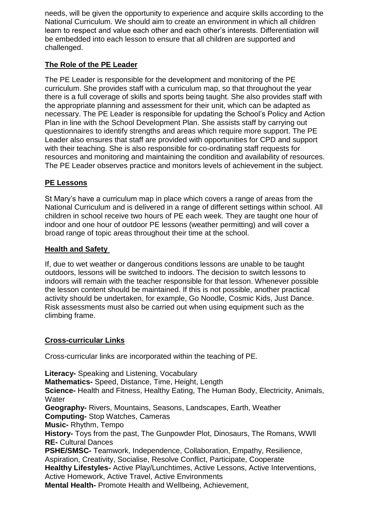needs, will be given the opportunity to experience and acquire skills according to the National Curriculum. We should aim to create an environment in which all children learn to respect and value each other and each other's interests. Differentiation will be embedded into each lesson to ensure that all children are supported and challenged.

#### **The Role of the PE Leader**

The PE Leader is responsible for the development and monitoring of the PE curriculum. She provides staff with a curriculum map, so that throughout the year there is a full coverage of skills and sports being taught. She also provides staff with the appropriate planning and assessment for their unit, which can be adapted as necessary. The PE Leader is responsible for updating the School's Policy and Action Plan in line with the School Development Plan. She assists staff by carrying out questionnaires to identify strengths and areas which require more support. The PE Leader also ensures that staff are provided with opportunities for CPD and support with their teaching. She is also responsible for co-ordinating staff requests for resources and monitoring and maintaining the condition and availability of resources. The PE Leader observes practice and monitors levels of achievement in the subject.

#### **PE Lessons**

St Mary's have a curriculum map in place which covers a range of areas from the National Curriculum and is delivered in a range of different settings within school. All children in school receive two hours of PE each week. They are taught one hour of indoor and one hour of outdoor PE lessons (weather permitting) and will cover a broad range of topic areas throughout their time at the school.

#### **Health and Safety**

If, due to wet weather or dangerous conditions lessons are unable to be taught outdoors, lessons will be switched to indoors. The decision to switch lessons to indoors will remain with the teacher responsible for that lesson. Whenever possible the lesson content should be maintained. If this is not possible, another practical activity should be undertaken, for example, Go Noodle, Cosmic Kids, Just Dance. Risk assessments must also be carried out when using equipment such as the climbing frame.

#### **Cross-curricular Links**

Cross-curricular links are incorporated within the teaching of PE.

**Literacy-** Speaking and Listening, Vocabulary **Mathematics-** Speed, Distance, Time, Height, Length **Science-** Health and Fitness, Healthy Eating, The Human Body, Electricity, Animals, **Water Geography-** Rivers, Mountains, Seasons, Landscapes, Earth, Weather **Computing-** Stop Watches, Cameras **Music-** Rhythm, Tempo **History-** Toys from the past, The Gunpowder Plot, Dinosaurs, The Romans, WWll **RE-** Cultural Dances **PSHE/SMSC-** Teamwork, Independence, Collaboration, Empathy, Resilience, Aspiration, Creativity, Socialise, Resolve Conflict, Participate, Cooperate **Healthy Lifestyles-** Active Play/Lunchtimes, Active Lessons, Active Interventions, Active Homework, Active Travel, Active Environments **Mental Health-** Promote Health and Wellbeing, Achievement,